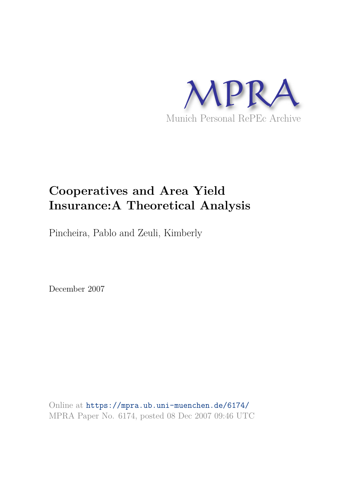

# **Cooperatives and Area Yield Insurance:A Theoretical Analysis**

Pincheira, Pablo and Zeuli, Kimberly

December 2007

Online at https://mpra.ub.uni-muenchen.de/6174/ MPRA Paper No. 6174, posted 08 Dec 2007 09:46 UTC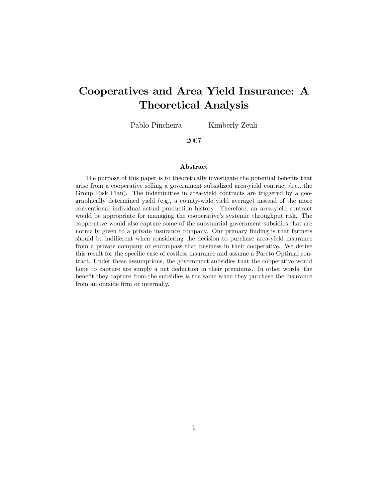## Cooperatives and Area Yield Insurance: A Theoretical Analysis

Pablo Pincheira Kimberly Zeuli

2007

#### Abstract

The purpose of this paper is to theoretically investigate the potential benefits that arise from a cooperative selling a government subsidized area-yield contract (i.e., the Group Risk Plan). The indeminities in area-yield contracts are triggered by a geographically determined yield (e.g., a county-wide yield average) instead of the more conventional individual actual production history. Therefore, an area-yield contract would be appropriate for managing the cooperative's systemic throughput risk. The cooperative would also capture some of the substantial government subsidies that are normally given to a private insurance company. Our primary finding is that farmers should be indifferent when considering the decision to purchase area-yield insurance from a private company or encompass that business in their cooperative. We derive this result for the specific case of costless insurance and assume a Pareto Optimal contract. Under these assumptions, the government subsidies that the cooperative would hope to capture are simply a net deduction in their premiums. In other words, the benefit they capture from the subsidies is the same when they purchase the insurance from an outside firm or internally.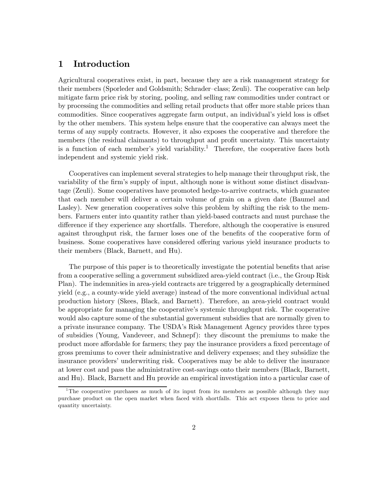## 1 Introduction

Agricultural cooperatives exist, in part, because they are a risk management strategy for their members (Sporleder and Goldsmith; Schrader—class; Zeuli). The cooperative can help mitigate farm price risk by storing, pooling, and selling raw commodities under contract or by processing the commodities and selling retail products that offer more stable prices than commodities. Since cooperatives aggregate farm output, an individual's yield loss is offset by the other members. This system helps ensure that the cooperative can always meet the terms of any supply contracts. However, it also exposes the cooperative and therefore the members (the residual claimants) to throughput and profit uncertainty. This uncertainty is a function of each member's yield variability.<sup>1</sup> Therefore, the cooperative faces both independent and systemic yield risk.

Cooperatives can implement several strategies to help manage their throughput risk, the variability of the firm's supply of input, although none is without some distinct disadvantage (Zeuli). Some cooperatives have promoted hedge-to-arrive contracts, which guarantee that each member will deliver a certain volume of grain on a given date (Baumel and Lasley). New generation cooperatives solve this problem by shifting the risk to the members. Farmers enter into quantity rather than yield-based contracts and must purchase the difference if they experience any shortfalls. Therefore, although the cooperative is ensured against throughput risk, the farmer loses one of the benefits of the cooperative form of business. Some cooperatives have considered offering various yield insurance products to their members (Black, Barnett, and Hu).

The purpose of this paper is to theoretically investigate the potential benefits that arise from a cooperative selling a government subsidized area-yield contract (i.e., the Group Risk Plan). The indemnities in area-yield contracts are triggered by a geographically determined yield (e.g., a county-wide yield average) instead of the more conventional individual actual production history (Skees, Black, and Barnett). Therefore, an area-yield contract would be appropriate for managing the cooperative's systemic throughput risk. The cooperative would also capture some of the substantial government subsidies that are normally given to a private insurance company. The USDA's Risk Management Agency provides three types of subsidies (Young, Vandeveer, and Schnepf): they discount the premiums to make the product more affordable for farmers; they pay the insurance providers a fixed percentage of gross premiums to cover their administrative and delivery expenses; and they subsidize the insurance providers' underwriting risk. Cooperatives may be able to deliver the insurance at lower cost and pass the administrative cost-savings onto their members (Black, Barnett, and Hu). Black, Barnett and Hu provide an empirical investigation into a particular case of

<sup>&</sup>lt;sup>1</sup>The cooperative purchases as much of its input from its members as possible although they may purchase product on the open market when faced with shortfalls. This act exposes them to price and quantity uncertainty.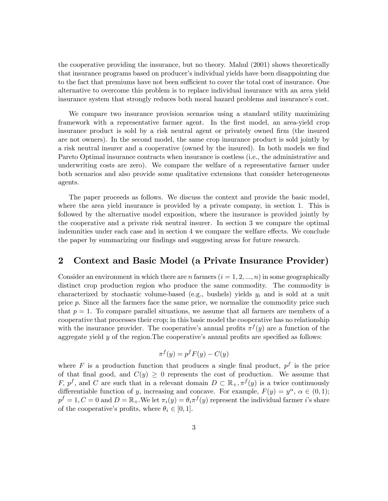the cooperative providing the insurance, but no theory. Mahul (2001) shows theoretically that insurance programs based on producer's individual yields have been disappointing due to the fact that premiums have not been sufficient to cover the total cost of insurance. One alternative to overcome this problem is to replace individual insurance with an area yield insurance system that strongly reduces both moral hazard problems and insurance's cost.

We compare two insurance provision scenarios using a standard utility maximizing framework with a representative farmer agent. In the first model, an area-yield crop insurance product is sold by a risk neutral agent or privately owned firm (the insured are not owners). In the second model, the same crop insurance product is sold jointly by a risk neutral insurer and a cooperative (owned by the insured). In both models we find Pareto Optimal insurance contracts when insurance is costless (i.e., the administrative and underwriting costs are zero). We compare the welfare of a representative farmer under both scenarios and also provide some qualitative extensions that consider heterogeneous agents.

The paper proceeds as follows. We discuss the context and provide the basic model, where the area yield insurance is provided by a private company, in section 1. This is followed by the alternative model exposition, where the insurance is provided jointly by the cooperative and a private risk neutral insurer. In section 3 we compare the optimal indemnities under each case and in section 4 we compare the welfare effects. We conclude the paper by summarizing our findings and suggesting areas for future research.

## 2 Context and Basic Model (a Private Insurance Provider)

Consider an environment in which there are n farmers  $(i = 1, 2, ..., n)$  in some geographically distinct crop production region who produce the same commodity. The commodity is characterized by stochastic volume-based (e.g., bushels) yields  $y_i$  and is sold at a unit price p. Since all the farmers face the same price, we normalize the commodity price such that  $p = 1$ . To compare parallel situations, we assume that all farmers are members of a cooperative that processes their crop; in this basic model the cooperative has no relationship with the insurance provider. The cooperative's annual profits  $\pi^f(y)$  are a function of the aggregate yield  $y$  of the region. The cooperative's annual profits are specified as follows:

$$
\pi^f(y) = p^f F(y) - C(y)
$$

where F is a production function that produces a single final product,  $p<sup>f</sup>$  is the price of that final good, and  $C(y) \geq 0$  represents the cost of production. We assume that F,  $p^f$ , and C are such that in a relevant domain  $D \subset \mathbb{R}_+, \pi^f(y)$  is a twice continuously differentiable function of y, increasing and concave. For example,  $F(y) = y^{\alpha}$ ,  $\alpha \in (0,1)$ ;  $p^f = 1, C = 0$  and  $D = \mathbb{R}_+$ . We let  $\pi_i(y) = \theta_i \pi^f(y)$  represent the individual farmer *i*'s share of the cooperative's profits, where  $\theta_i \in [0, 1]$ .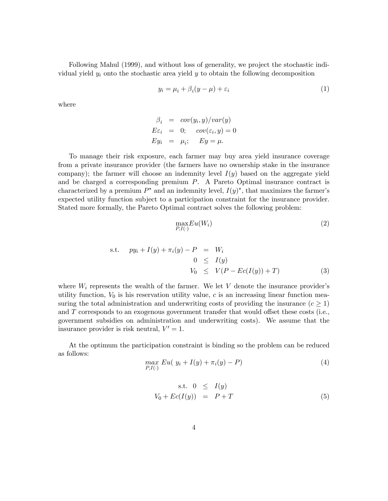Following Mahul (1999), and without loss of generality, we project the stochastic individual yield  $y_i$  onto the stochastic area yield  $y$  to obtain the following decomposition

$$
y_i = \mu_i + \beta_i(y - \mu) + \varepsilon_i \tag{1}
$$

where

$$
\beta_i = cov(y_i, y)/var(y)
$$
  
\n
$$
E\varepsilon_i = 0; cov(\varepsilon_i, y) = 0
$$
  
\n
$$
Ey_i = \mu_i; Ey = \mu.
$$

To manage their risk exposure, each farmer may buy area yield insurance coverage from a private insurance provider (the farmers have no ownership stake in the insurance company); the farmer will choose an indemnity level  $I(y)$  based on the aggregate yield and be charged a corresponding premium P. A Pareto Optimal insurance contract is characterized by a premium  $P^*$  and an indemnity level,  $I(y)^*$ , that maximizes the farmer's expected utility function subject to a participation constraint for the insurance provider. Stated more formally, the Pareto Optimal contract solves the following problem:

$$
\max_{P,I(\cdot)} Eu(W_i) \tag{2}
$$

s.t. 
$$
py_i + I(y) + \pi_i(y) - P = W_i
$$
  
\n
$$
0 \leq I(y)
$$
\n
$$
V_0 \leq V(P - Ec(I(y)) + T)
$$
\n(3)

where  $W_i$  represents the wealth of the farmer. We let V denote the insurance provider's utility function,  $V_0$  is his reservation utility value, c is an increasing linear function measuring the total administration and underwriting costs of providing the insurance  $(c > 1)$ and T corresponds to an exogenous government transfer that would offset these costs (i.e., government subsidies on administration and underwriting costs). We assume that the insurance provider is risk neutral,  $V' = 1$ .

At the optimum the participation constraint is binding so the problem can be reduced as follows:

$$
\max_{P, I(\cdot)} Eu(y_i + I(y) + \pi_i(y) - P) \tag{4}
$$

$$
s.t. 0 \leq I(y)
$$
  

$$
V_0 + Ec(I(y)) = P + T
$$
 (5)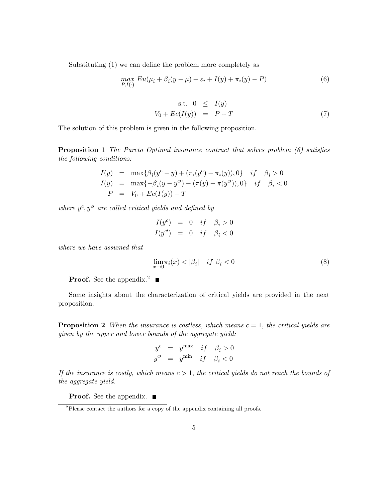Substituting (1) we can define the problem more completely as

$$
\max_{P,I(\cdot)} Eu(\mu_i + \beta_i(y - \mu) + \varepsilon_i + I(y) + \pi_i(y) - P) \tag{6}
$$

$$
s.t. \quad 0 \leq I(y)
$$
  

$$
V_0 + Ec(I(y)) = P + T \tag{7}
$$

The solution of this problem is given in the following proposition.

Proposition 1 *The Pareto Optimal insurance contract that solves problem (6) satis*fi*es the following conditions:*

$$
I(y) = \max{\beta_i(y^c - y) + (\pi_i(y^c) - \pi_i(y)), 0} \quad if \quad \beta_i > 0
$$
  
\n
$$
I(y) = \max{-\beta_i(y - y^{c'}) - (\pi(y) - \pi(y^{c'})), 0} \quad if \quad \beta_i < 0
$$
  
\n
$$
P = V_0 + Ec(I(y)) - T
$$

where  $y^c, y^{c'}$  are called critical yields and defined by

$$
I(yc) = 0 \tif \t\beta_i > 0
$$
  

$$
I(yc) = 0 \tif \t\beta_i < 0
$$

*where we have assumed that*

$$
\lim_{x \to 0} \pi_i(x) < |\beta_i| \quad \text{if } \beta_i < 0 \tag{8}
$$

**Proof.** See the appendix.<sup>2</sup>  $\blacksquare$ 

Some insights about the characterization of critical yields are provided in the next proposition.

**Proposition 2** *When the insurance is costless, which means*  $c = 1$ *, the critical yields are given by the upper and lower bounds of the aggregate yield:*

$$
y^{c} = y^{\max} \quad if \quad \beta_{i} > 0
$$
  

$$
y^{c'} = y^{\min} \quad if \quad \beta_{i} < 0
$$

*If the insurance is costly, which means* c > 1, *the critical yields do not reach the bounds of the aggregate yield.*

**Proof.** See the appendix. ■

 $2P$ lease contact the authors for a copy of the appendix containing all proofs.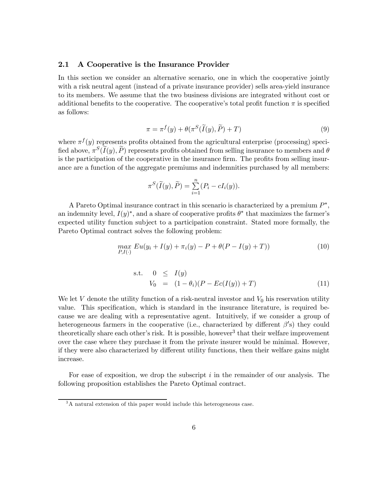#### 2.1 A Cooperative is the Insurance Provider

In this section we consider an alternative scenario, one in which the cooperative jointly with a risk neutral agent (instead of a private insurance provider) sells area-yield insurance to its members. We assume that the two business divisions are integrated without cost or additional benefits to the cooperative. The cooperative's total profit function  $\pi$  is specified as follows:

$$
\pi = \pi^{f}(y) + \theta(\pi^{S}(\tilde{I}(y), \tilde{P}) + T)
$$
\n(9)

where  $\pi^{f}(y)$  represents profits obtained from the agricultural enterprise (processing) specified above,  $\pi^S(\tilde{I}(y), \tilde{P})$  represents profits obtained from selling insurance to members and  $\theta$ is the participation of the cooperative in the insurance firm. The profits from selling insurance are a function of the aggregate premiums and indemnities purchased by all members:

$$
\pi^{S}(\widetilde{I}(y),\widetilde{P}) = \sum_{i=1}^{n} (P_i - cI_i(y)).
$$

A Pareto Optimal insurance contract in this scenario is characterized by a premium  $P^*$ , an indemnity level,  $I(y)^*$ , and a share of cooperative profits  $\theta^*$  that maximizes the farmer's expected utility function subject to a participation constraint. Stated more formally, the Pareto Optimal contract solves the following problem:

$$
\max_{P, I(\cdot)} Eu(y_i + I(y) + \pi_i(y) - P + \theta(P - I(y) + T))
$$
\n(10)

s.t. 
$$
0 \leq I(y)
$$
  
\n $V_0 = (1 - \theta_i)(P - Ec(I(y)) + T)$  (11)

We let V denote the utility function of a risk-neutral investor and  $V_0$  his reservation utility value. This specification, which is standard in the insurance literature, is required because we are dealing with a representative agent. Intuitively, if we consider a group of heterogeneous farmers in the cooperative (i.e., characterized by different  $\beta$ 's) they could theoretically share each other's risk. It is possible, however<sup>3</sup> that their welfare improvement over the case where they purchase it from the private insurer would be minimal. However, if they were also characterized by different utility functions, then their welfare gains might increase.

For ease of exposition, we drop the subscript  $i$  in the remainder of our analysis. The following proposition establishes the Pareto Optimal contract.

<sup>&</sup>lt;sup>3</sup>A natural extension of this paper would include this heterogeneous case.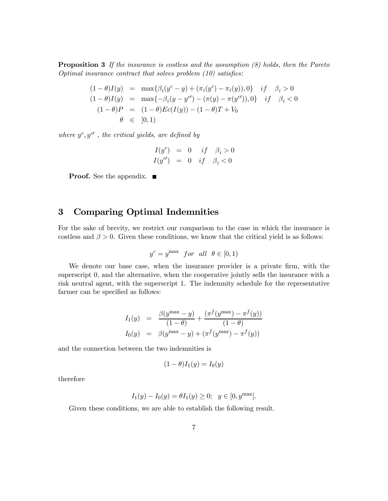Proposition 3 *If the insurance is costless and the assumption (8) holds, then the Pareto Optimal insurance contract that solves problem (10) satisfies:* 

$$
(1 - \theta)I(y) = \max\{\beta_i(y^c - y) + (\pi_i(y^c) - \pi_i(y)), 0\} \quad if \quad \beta_i > 0
$$
  
\n
$$
(1 - \theta)I(y) = \max\{-\beta_i(y - y^{c'}) - (\pi(y) - \pi(y^{c'})), 0\} \quad if \quad \beta_i < 0
$$
  
\n
$$
(1 - \theta)P = (1 - \theta)Ec(I(y)) - (1 - \theta)T + V_0
$$
  
\n
$$
\theta \in [0, 1)
$$

where  $y^c, y^{c'}$ , the critical yields, are defined by

$$
\begin{array}{rcl} I(y^c) &=& 0 & if & \beta_i > 0 \\ I(y^{c\prime}) &=& 0 & if & \beta_i < 0 \end{array}
$$

**Proof.** See the appendix. ■

## 3 Comparing Optimal Indemnities

For the sake of brevity, we restrict our comparison to the case in which the insurance is costless and  $\beta > 0$ . Given these conditions, we know that the critical yield is as follows:

$$
y^c = y^{\max} \quad \text{for all} \quad \theta \in [0, 1)
$$

We denote our base case, when the insurance provider is a private firm, with the superscript 0, and the alternative, when the cooperative jointly sells the insurance with a risk neutral agent, with the superscript 1. The indemnity schedule for the representative farmer can be specified as follows:

$$
I_1(y) = \frac{\beta(y^{\max} - y)}{(1 - \theta)} + \frac{(\pi^f(y^{\max}) - \pi^f(y))}{(1 - \theta)}
$$
  

$$
I_0(y) = \beta(y^{\max} - y) + (\pi^f(y^{\max}) - \pi^f(y))
$$

and the connection between the two indemnities is

$$
(1 - \theta)I_1(y) = I_0(y)
$$

therefore

$$
I_1(y) - I_0(y) = \theta I_1(y) \ge 0; \quad y \in [0, y^{\max}].
$$

Given these conditions, we are able to establish the following result.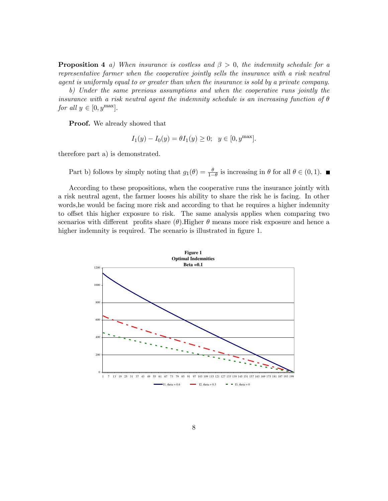Proposition 4 *a) When insurance is costless and* β > 0, *the indemnity schedule for a representative farmer when the cooperative jointly sells the insurance with a risk neutral agent is uniformly equal to or greater than when the insurance is sold by a private company.*

*b) Under the same previous assumptions and when the cooperative runs jointly the insurance with a risk neutral agent the indemnity schedule is an increasing function of* θ *for all*  $y \in [0, y^{\max}]$ .

Proof. We already showed that

$$
I_1(y) - I_0(y) = \theta I_1(y) \ge 0; \quad y \in [0, y^{\max}].
$$

therefore part a) is demonstrated.

Part b) follows by simply noting that  $g_1(\theta) = \frac{\theta}{1-\theta}$  is increasing in  $\theta$  for all  $\theta \in (0,1)$ .

According to these propositions, when the cooperative runs the insurance jointly with a risk neutral agent, the farmer looses his ability to share the risk he is facing. In other words,he would be facing more risk and according to that he requires a higher indemnity to offset this higher exposure to risk. The same analysis applies when comparing two scenarios with different profits share  $(\theta)$ . Higher  $\theta$  means more risk exposure and hence a higher indemnity is required. The scenario is illustrated in figure 1.

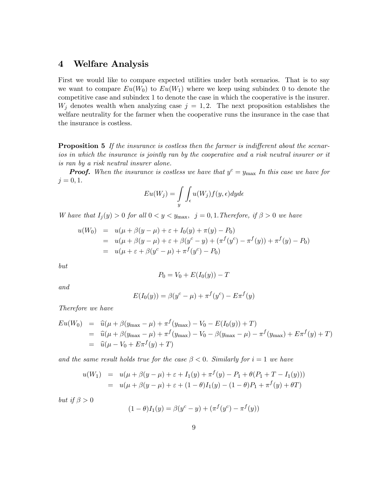## 4 Welfare Analysis

First we would like to compare expected utilities under both scenarios. That is to say we want to compare  $Eu(W_0)$  to  $Eu(W_1)$  where we keep using subindex 0 to denote the competitive case and subindex 1 to denote the case in which the cooperative is the insurer.  $W_j$  denotes wealth when analyzing case  $j = 1, 2$ . The next proposition establishes the welfare neutrality for the farmer when the cooperative runs the insurance in the case that the insurance is costless.

Proposition 5 *If the insurance is costless then the farmer is indi*ff*erent about the scenarios in which the insurance is jointly ran by the cooperative and a risk neutral insurer or it is ran by a risk neutral insurer alone.*

**Proof.** When the insurance is costless we have that  $y^c = y_{\text{max}}$  In this case we have for  $j = 0, 1.$ 

$$
Eu(W_j) = \int\limits_{y} \int_{\epsilon} u(W_j) f(y, \epsilon) dy d\epsilon
$$

*W* have that  $I_j(y) > 0$  for all  $0 < y < y_{\text{max}}$ ,  $j = 0, 1$ . Therefore, if  $\beta > 0$  we have

$$
u(W_0) = u(\mu + \beta(y - \mu) + \varepsilon + I_0(y) + \pi(y) - P_0)
$$
  
=  $u(\mu + \beta(y - \mu) + \varepsilon + \beta(y^c - y) + (\pi^f(y^c) - \pi^f(y)) + \pi^f(y) - P_0)$   
=  $u(\mu + \varepsilon + \beta(y^c - \mu) + \pi^f(y^c) - P_0)$ 

*but*

$$
P_0 = V_0 + E(I_0(y)) - T
$$

*and*

$$
E(I_0(y)) = \beta(y^c - \mu) + \pi^f(y^c) - E\pi^f(y)
$$

*Therefore we have*

$$
Eu(W_0) = \hat{u}(\mu + \beta(y_{\text{max}} - \mu) + \pi^f(y_{\text{max}}) - V_0 - E(I_0(y)) + T)
$$
  
=  $\hat{u}(\mu + \beta(y_{\text{max}} - \mu) + \pi^f(y_{\text{max}}) - V_0 - \beta(y_{\text{max}} - \mu) - \pi^f(y_{\text{max}}) + E\pi^f(y) + T)$   
=  $\hat{u}(\mu - V_0 + E\pi^f(y) + T)$ 

*and the same result holds true for the case*  $\beta < 0$ *. Similarly for*  $i = 1$  *we have* 

$$
u(W_1) = u(\mu + \beta(y - \mu) + \varepsilon + I_1(y) + \pi^f(y) - P_1 + \theta(P_1 + T - I_1(y)))
$$
  
= 
$$
u(\mu + \beta(y - \mu) + \varepsilon + (1 - \theta)I_1(y) - (1 - \theta)P_1 + \pi^f(y) + \theta T)
$$

*but if*  $\beta > 0$ 

$$
(1 - \theta)I_1(y) = \beta(y^c - y) + (\pi^f(y^c) - \pi^f(y))
$$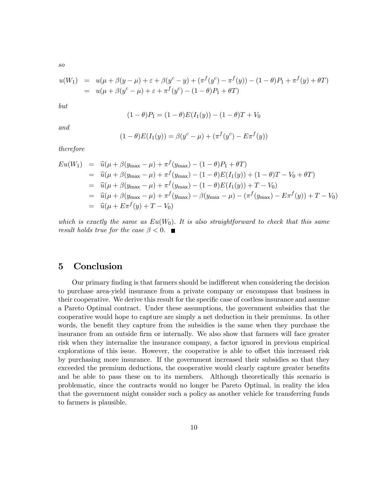*so*

$$
u(W_1) = u(\mu + \beta(y - \mu) + \varepsilon + \beta(y^c - y) + (\pi^f(y^c) - \pi^f(y)) - (1 - \theta)P_1 + \pi^f(y) + \theta T)
$$
  
=  $u(\mu + \beta(y^c - \mu) + \varepsilon + \pi^f(y^c) - (1 - \theta)P_1 + \theta T)$ 

*but*

$$
(1 - \theta)P_1 = (1 - \theta)E(I_1(y)) - (1 - \theta)T + V_0
$$

*and*

$$
(1 - \theta)E(I_1(y)) = \beta(y^c - \mu) + (\pi^f(y^c) - E\pi^f(y))
$$

*therefore*

$$
Eu(W_1) = \hat{u}(\mu + \beta(y_{\text{max}} - \mu) + \pi^f(y_{\text{max}}) - (1 - \theta)P_1 + \theta T)
$$
  
\n
$$
= \hat{u}(\mu + \beta(y_{\text{max}} - \mu) + \pi^f(y_{\text{max}}) - (1 - \theta)E(I_1(y)) + (1 - \theta)T - V_0 + \theta T)
$$
  
\n
$$
= \hat{u}(\mu + \beta(y_{\text{max}} - \mu) + \pi^f(y_{\text{max}}) - (1 - \theta)E(I_1(y)) + T - V_0)
$$
  
\n
$$
= \hat{u}(\mu + \beta(y_{\text{max}} - \mu) + \pi^f(y_{\text{max}}) - \beta(y_{\text{max}} - \mu) - (\pi^f(y_{\text{max}}) - E\pi^f(y)) + T - V_0)
$$
  
\n
$$
= \hat{u}(\mu + E\pi^f(y) + T - V_0)
$$

*which is exactly the same as*  $Eu(W_0)$ . It is also straightforward to check that this same *result holds true for the case*  $\beta < 0$ .

## 5 Conclusion

Our primary finding is that farmers should be indifferent when considering the decision to purchase area-yield insurance from a private company or encompass that business in their cooperative. We derive this result for the specific case of costless insurance and assume a Pareto Optimal contract. Under these assumptions, the government subsidies that the cooperative would hope to capture are simply a net deduction in their premiums. In other words, the benefit they capture from the subsidies is the same when they purchase the insurance from an outside firm or internally. We also show that farmers will face greater risk when they internalize the insurance company, a factor ignored in previous empirical explorations of this issue. However, the cooperative is able to offset this increased risk by purchasing more insurance. If the government increased their subsidies so that they exceeded the premium deductions, the cooperative would clearly capture greater benefits and be able to pass these on to its members. Although theoretically this scenario is problematic, since the contracts would no longer be Pareto Optimal, in reality the idea that the government might consider such a policy as another vehicle for transferring funds to farmers is plausible.